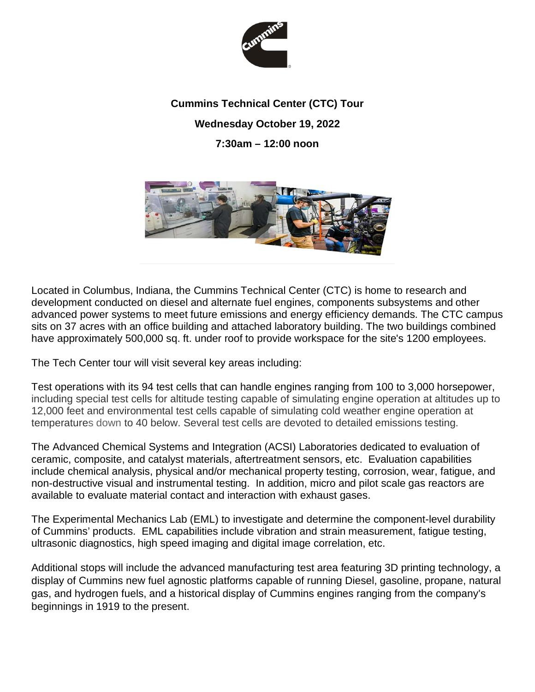

## **Cummins Technical Center (CTC) Tour Wednesday October 19, 2022 7:30am – 12:00 noon**



Located in Columbus, Indiana, the Cummins Technical Center (CTC) is home to research and development conducted on diesel and alternate fuel engines, components subsystems and other advanced power systems to meet future emissions and energy efficiency demands. The CTC campus sits on 37 acres with an office building and attached laboratory building. The two buildings combined have approximately 500,000 sq. ft. under roof to provide workspace for the site's 1200 employees.

The Tech Center tour will visit several key areas including:

Test operations with its 94 test cells that can handle engines ranging from 100 to 3,000 horsepower, including special test cells for altitude testing capable of simulating engine operation at altitudes up to 12,000 feet and environmental test cells capable of simulating cold weather engine operation at temperatures down to 40 below. Several test cells are devoted to detailed emissions testing.

The Advanced Chemical Systems and Integration (ACSI) Laboratories dedicated to evaluation of ceramic, composite, and catalyst materials, aftertreatment sensors, etc. Evaluation capabilities include chemical analysis, physical and/or mechanical property testing, corrosion, wear, fatigue, and non-destructive visual and instrumental testing. In addition, micro and pilot scale gas reactors are available to evaluate material contact and interaction with exhaust gases.

The Experimental Mechanics Lab (EML) to investigate and determine the component-level durability of Cummins' products. EML capabilities include vibration and strain measurement, fatigue testing, ultrasonic diagnostics, high speed imaging and digital image correlation, etc.

Additional stops will include the advanced manufacturing test area featuring 3D printing technology, a display of Cummins new fuel agnostic platforms capable of running Diesel, gasoline, propane, natural gas, and hydrogen fuels, and a historical display of Cummins engines ranging from the company's beginnings in 1919 to the present.